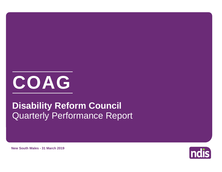

# Quarterly Performance Report **Disability Reform Council**

**ndis** 

**New South Wales - 31 March 2019**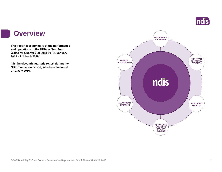

#### **Overview**

**This report is a summary of the performance and operations of the NDIA in New South Wales for Quarter 3 of 2018-19 (01 January 2019 - 31 March 2019).**

**It is the eleventh quarterly report during the NDIS Transition period, which commenced on 1 July 2016.** 

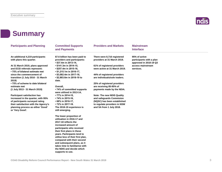

#### **Summary**

| <b>Participants and Planning</b>                                                                                                                                      | <b>Committed Supports</b><br>and Payments                                                                                                                                                                                                                                                                                                                                           | <b>Providers and Markets</b>                                                                                        | <b>Mainstream</b><br><b>Interface</b>                               |  |
|-----------------------------------------------------------------------------------------------------------------------------------------------------------------------|-------------------------------------------------------------------------------------------------------------------------------------------------------------------------------------------------------------------------------------------------------------------------------------------------------------------------------------------------------------------------------------|---------------------------------------------------------------------------------------------------------------------|---------------------------------------------------------------------|--|
| An additional 4,219 participants<br>with plans this quarter.                                                                                                          | \$7.6 billion has been paid to<br>providers and participants:<br>• \$37.4m in 2013-14,                                                                                                                                                                                                                                                                                              | There were 8,716 registered<br>providers at 31 March 2019.                                                          | 95% of active<br>participants with a plan<br>approved in 2018-19 Q3 |  |
| At 31 March 2019, plans approved<br>and ECEI referrals represent:<br>•75% of bilateral estimate met                                                                   | $\cdot$ \$141.3m in 2014-15,<br>$\cdot$ \$257.4m in 2015-16,<br>$\cdot$ \$1,215.1m in 2016-17,                                                                                                                                                                                                                                                                                      | 61% of registered providers<br>were active at 31 March 2019.                                                        | access mainstream<br>services.                                      |  |
| since the commencement of<br>transition (1 July 2016 - 31 March<br>2019)                                                                                              | $\cdot$ \$3,082.4m in 2017-18,<br>• \$2,903.6m in 2018-19 to<br>date.                                                                                                                                                                                                                                                                                                               | 44% of registered providers<br>are individuals/sole traders.                                                        |                                                                     |  |
| •75% of scheme to date bilateral<br>estimate met<br>(1 July 2013 - 31 March 2019)                                                                                     | Overall,<br>• 74% of committed supports                                                                                                                                                                                                                                                                                                                                             | 25% of registered providers<br>are receiving 85-95% of<br>payments made by the NDIA.                                |                                                                     |  |
| <b>Participant satisfaction has</b>                                                                                                                                   | were utilised in 2013-14.<br>• 77% in 2014-15,                                                                                                                                                                                                                                                                                                                                      | <b>Note: The new NDIS Quality</b>                                                                                   |                                                                     |  |
| increased in the quarter, with 95%<br>of participants surveyed rating<br>their satisfaction with the Agency's<br>planning process as either 'Good'<br>or 'Very Good'. | • 74% in 2015-16,<br>• 68% in 2016-17,<br>• 72% in 2017-18.<br>The 2018-19 experience is<br>still emerging.                                                                                                                                                                                                                                                                         | and safeguards Commision<br>(NQSC) has been established<br>to regulate providers in NSW<br>and SA from 1 July 2018. |                                                                     |  |
|                                                                                                                                                                       | The lower proportion of<br>utilisation in 2016-17 and<br>2017-18 reflects the<br>increased amount of<br>participants who received<br>their first plans in these<br>years. Participants tend to<br>utilise less of their first plan,<br>compared with their second<br>and subsequent plans, as it<br>takes time to familiarise with<br>the NDIS and decide which<br>supports to use. |                                                                                                                     |                                                                     |  |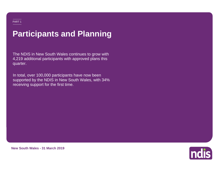# **Participants and Planning**

The NDIS in New South Wales continues to grow with 4,219 additional participants with approved plans this quarter.

**3,303** receiving support for the first time.In total, over 100,000 participants have now been supported by the NDIS in New South Wales, with 34%



**New South Wales - 31 March 2019**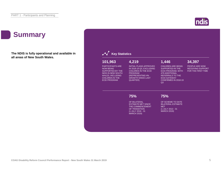## **Summary**

**The NDIS is fully operational and available in all areas of New South Wales.**



#### **Key Statistics**

#### PARTICIPANTS ARE **101,963**

NOW BEING SUPPORTED BY THE NDIS IN NEW SOUTH WALES, INCLUDING CHILDREN IN THE ECEI PROGRAM

INITIAL PLANS APPROVED IN 2018-19 Q3, EXCLUDING CHILDREN IN THE ECEI PROGRAM (REPRESENTING 4% GROWTH SINCE LAST QUARTER)

**4,219**

#### **1,446**

CHILDREN ARE BEING SUPPORTED IN THE ECEI PROGRAM, WITH 479 ADDITIONAL REFERRALS TO THE ECEI GATEWAY CONFIRMED IN 2018-19 **34,397**

PEOPLE ARE NOW RECEIVING SUPPORT FOR THE FIRST TIME

#### **75%**

OF BILATERAL ESTIMATE MET SINCE THE COMMENCEMENT OF TRANSITION (1 JULY 2016 - 31 MARCH 2019)

**75%**

 $Q<sub>3</sub>$ 

OF SCHEME TO DATE BILATERAL ESTIMATE MET (1 JULY 2013 - 31 **MARCH 2019)**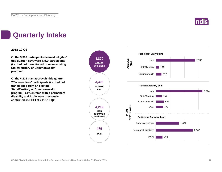

## **Quarterly Intake**

#### **2018-19 Q3**

**Of the 3,303 participants deemed 'eligible' this quarter, 83% were 'New' participants (i.e. had not transitioned from an existing State/Territory or Commonwealth program).**

**Of the 4,219 plan approvals this quarter, 78% were 'New' participants (i.e. had not transitioned from an existing State/Territory or Commonwealth program), 61% entered with a permanent disability and 1,149 were previously confirmed as ECEI at 2018-19 Q2.**

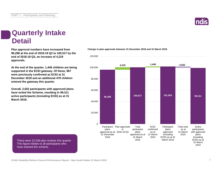### **Quarterly Intake Detail**

**96,298 at the end of 2018-19 Q2 to 100,517 by the end of 2018-19 Q3, an increase of 4,219 approvals.**

**At the end of the quarter, 1,446 children are being supported in the ECEI gateway. Of these, 967 were previously confirmed as ECEI at 31 December 2018 and an additional 479 children entered the gateway this quarter.**

**Overall, 2,652 participants with approved plans have exited the Scheme, resulting in 99,311 active participants (including ECEI) as at 31 March 2019.**

#### **Plan approval numbers have increased from Change in plan approvals between 31 December 2018 and 31 March 2019**



There were 22,536 plan reviews this quarter. This figure relates to all participants who have entered the scheme.

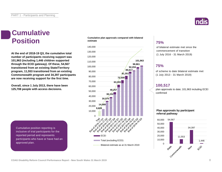### **Cumulative Position**

**At the end of 2018-19 Q3, the cumulative total number of participants receiving support was 101,963 (including 1,446 children supported through the ECEI gateway). Of these, 54,567 transitioned from an existing State/Territory program, 11,553 transitioned from an existing Commonwealth program and 34,397 participants are now receiving support for the first time.**

**Overall, since 1 July 2013, there have been 125,708 people with access decisions.**

Cumulative position reporting is inclusive of trial participants for the reported period and represents participants who have or have had an approved plan.





#### **75%**

of bilateral estimate met since the commencement of transition (1 July 2016 - 31 March 2019)

#### **75%**

of scheme to date bilateral estimate met (1 July 2013 - 31 March 2019)

#### **100,517**

plan approvals to date; 101,963 including ECEI confirmed

#### **Plan approvals by participant referral pathway**



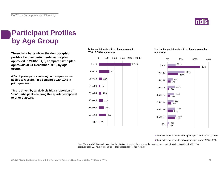

## **Participant Profiles by Age Group**

**These bar charts show the demographic profile of active participants with a plan approved in 2018-19 Q3, compared with plan approvals at 31 December 2018, by age group.**

**48% of participants entering in this quarter are aged 0 to 6 years. This compares with 12% in prior quarters.**

**This is driven by a relatively high proportion of 'new' participants entering this quarter compared to prior quarters.**

#### **Active participants with a plan approved in 2018-19 Q3 by age group**



#### **% of active participants with a plan approved by age group**



■% of active participants with a plan approved in prior quarters

■% of active participants with a plan approved in 2018-19 Q3

Note: The age eligibility requirements for the NDIS are based on the age as at the access request date. Participants with their initial plan approved aged 65+ have turned 65 since their access request was received.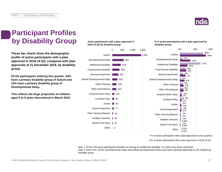

### **Participant Profiles by Disability Group**

**These bar charts show the demographic profile of active participants with a plan approved in 2018-19 Q3, compared with plan approvals at 31 December 2018, by disability group.**

**Of the participants entering this quarter, 34% have a primary disability group of Autism and 13% have a primary disability group of Developmental Delay.**

**This reflects the large proportion of children aged 0 to 6 years that entered in March 2019.** **Active participants with a plan approved in 2018-19 Q3 by disability group**



**% of active participants with a plan approved by disability group**



■% of active participants with a plan approved in prior quarters

■% of active participants with a plan approved in 2018-19 Q3

Note 1: Of the 418 active participants identified as having an intellectual disability, 41 (10%) have down syndrome. Note 2: Since 2017-18 Q1 Developmental Delay and Global Developmental Delay have been reported separately to the Intellectual Disability group.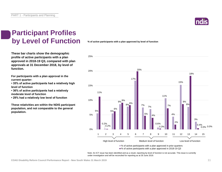

### **Participant Profiles by Level of Function**

**These bar charts show the demographic profile of active participants with a plan approved in 2018-19 Q3, compared with plan approvals at 31 December 2018, by level of function.**

**For participants with a plan approval in the current quarter:** 

**• 35% of active participants had a relatively high level of function**

**• 36% of active participants had a relatively moderate level of function** 

**• 29% had a relatively low level of function**

**These relativities are within the NDIS participant population, and not comparable to the general population.**

#### **% of active participants with a plan approved by level of function**



Note: An ICT issue has been identified and as a result, reporting by level of function is not accurate. This issue is currently under investigation and will be reconciled for reporting as at 30 June 2019.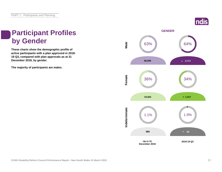### **ndis**

### **Participant Profiles by Gender**

**These charts show the demographic profile of active participants with a plan approved in 2018- 19 Q3, compared with plan approvals as at 31 December 2018, by gender.**

**The majority of participants are males.**

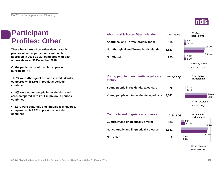### **Participant Profiles: Other**

**These bar charts show other demographic profiles of active participants with a plan approved in 2018-19 Q3, compared with plan approvals as at 31 December 2018.**

**Of the participants with a plan approved in 2018-19 Q3:**

**• 8.7% were Aboriginal or Torres Strait Islander, compared with 5.9% in previous periods combined.**

**• 1.8% were young people in residential aged care, compared with 2.1% in previous periods combined.**

**• 12.7% were culturally and linguistically diverse, compared with 9.2% in previous periods combined.**

| <b>Aboriginal &amp; Torres Strait Islander</b>         | 2018-19 Q3 | % of active<br>participants |                             |  |  |
|--------------------------------------------------------|------------|-----------------------------|-----------------------------|--|--|
| <b>Aboriginal and Torres Strait Islander</b>           | 368        | 5.9%<br>8.7%                |                             |  |  |
| Not Aboriginal and Torres Strait Islander              | 3,623      |                             | 90.2%                       |  |  |
| <b>Not Stated</b>                                      | 225        | 3.9%<br>5.3%                | 85.9%                       |  |  |
|                                                        |            | <b>Prior Quarters</b>       |                             |  |  |
|                                                        |            |                             | ■2018-19 Q3                 |  |  |
| Young people in residential aged care<br><b>status</b> | 2018-19 Q3 | % of active<br>participants |                             |  |  |
| Young people in residential aged care                  | 75         | 2.1%<br>1.8%                |                             |  |  |
| Young people not in residential aged care              | 4,141      |                             | 97.9%<br>98.2%              |  |  |
|                                                        |            |                             | Prior Quarters              |  |  |
|                                                        |            |                             | ■ 2018-19 Q3                |  |  |
| <b>Culturally and linguistically diverse</b>           | 2018-19 Q3 |                             | % of active<br>participants |  |  |
| <b>Culturally and linguistically diverse</b>           | 534        | 9.2%<br>12.7%               | 90.5%                       |  |  |
| Not culturally and linguistically diverse              | 3,682      |                             |                             |  |  |
| Not etated                                             | Λ          | 0.3%                        | 87.3%                       |  |  |

**0**

0.0%

**Not stated**

■ Prior Quarters ■ 2018-19 Q3

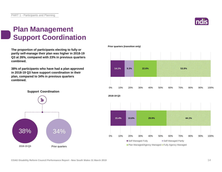### **Plan Management Support Coordination**

**The proportion of participants electing to fully or partly self-manage their plan was higher in 2018-19 Q3 at 26%, compared with 23% in previous quarters combined.**

**38% of participants who have had a plan approved in 2018-19 Q3 have support coordination in their plan, compared to 34% in previous quarters combined.**

**Support Coordination**





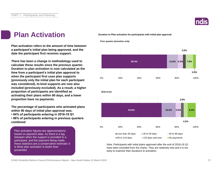

### **Plan Activation**

**Plan activation refers to the amount of time between a participant's initial plan being approved, and the date the participant first receives support.**

**There has been a change in methodology used to calculate these results since the previous quarter. Duration to plan activation is now calculated as the time from a participant's initial plan approval to when the participant first uses plan supports (previously only the initial plan for each participant was considered). In-kind supports are now also included (previously excluded). As a result, a higher proportion of participants are identified as activating their plans within 90 days, and a lower proportion have no payments.**

**The percentage of participants who activated plans within 90 days of initial plan approval was:** 

**• 84% of participants entering in 2018-19 Q1**

**• 86% of participants entering in previous quarters combined**

Plan activation figures are approximations based on payment data. As there is a lag between when the support is provided to a participant, and the payment being made, these statistics are a conservative estimate; it is likely plan activation is faster than presented.

**Duration to Plan activation for participants with initial plan approval**

**Prior quarters (transition only)**



Note: Participants with initial plans approved after the end of 2018-19 Q1 have been excluded from the charts. They are relatively new and it is too early to examine their durations to activation.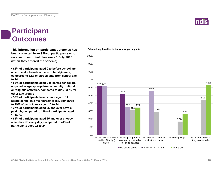#### **Participant Outcomes**

**This information on participant outcomes has been collected from 99% of participants who received their initial plan since 1 July 2016 (when they entered the scheme).**

**• 62% of participants aged 0 to before school are able to make friends outside of family/carers, compared to 62% of participants from school age to 14**

**• 52% of participants aged 0 to before school are engaged in age appropriate community, cultural or religious activities, compared to 31% - 35% for other age groups**

**• 56% of participants from school age to 14 attend school in a mainstream class, compared to 29% of participants aged 15 to 24**

**• 27% of participants aged 25 and over have a paid job, compared to 17% of participants aged 15 to 24**

**• 63% of participants aged 25 and over choose what they do every day, compared to 44% of participants aged 15 to 24**

#### **Selected key baseline indicators for participants**



 $\Box$ 0 to before school  $\Box$  School to 14  $\Box$  15 to 24  $\Box$  25 and over

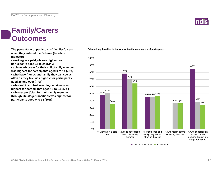### **Family/Carers Outcomes**

**when they entered the Scheme (baseline indicators):**

**• working in a paid job was highest for participants aged 15 to 24 (51%)**

**• able to advocate for their child/family member was highest for participants aged 0 to 14 (78%) • who have friends and family they can see as often as they like was highest for participants aged 25 and over (47%)**

**• who feel in control selecting services was highest for participants aged 15 to 24 (37%) • who support/plan for their family member through life stage transitions was highest for participants aged 0 to 14 (85%)**

#### 48% 78% 46% 46% 47% 85% 51% 70% 37% <sub>36%</sub> \_\_\_<mark>\_\_\_\_</mark>\_\_\_\_<mark>39%</mark> 36% 64% 34% 0% 10% 20% 30% 40% 50% 60% 70% 80% 90% 100% % working in a paid % able to advocate for job their child/family member % with friends and family they see as often as they like % who feel in control selecting services % who support/plan for their family member through life stage transitions

**The percentage of participants' families/carers Selected key baseline indicators for families and carers of participants**

 $\Box$  0 to 14  $\Box$  15 to 24  $\Box$  25 and over



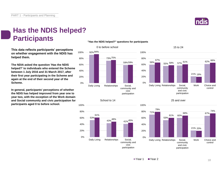

62% 66%

### **Has the NDIS helped? Participants**

**This data reflects participants' perceptions on whether engagement with the NDIS has helped them.**

**The NDIA asked the question 'Has the NDIS helped?' to individuals who entered the Scheme between 1 July 2016 and 31 March 2017, after their first year participating in the Scheme and again at the end of their second year of the Scheme.**

**In general, participants' perceptions of whether the NDIS has helped improved from year one to year two, with the exception of the Work domain and Social community and civic participation for participants aged 0 to before school.**

#### **"Has the NDIS helped?" questions for participants**









15 to 24



25 and over

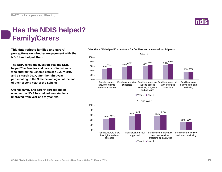

### **Has the NDIS helped? Family/Carers**

**This data reflects families and carers' perceptions on whether engagement with the NDIS has helped them.**

**The NDIA asked the question 'Has the NDIS helped?' to families and carers of individuals who entered the Scheme between 1 July 2016 and 31 March 2017, after their first year participating in the Scheme and again at the end of their second year of the Scheme.**

**Overall, family and carers' perceptions of whether the NDIS has helped was stable or improved from year one to year two.**

#### **"Has the NDIS helped?" questions for families and carers of participants**

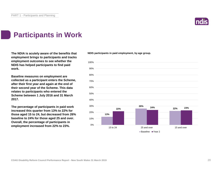

### **Participants in Work**

**The NDIA is acutely aware of the benefits that employment brings to participants and tracks employment outcomes to see whether the NDIS has helped participants to find paid work.**

**Baseline measures on employment are collected as a participant enters the Scheme, after their first year and again at the end of their second year of the Scheme. This data relates to participants who entered the Scheme between 1 July 2016 and 31 March 2017.**

**The percentage of participants in paid work increased this quarter from 13% to 22% for those aged 15 to 24, but decreased from 26% baseline to 24% for those aged 25 and over. Overall, the percentage of participants in employment increased from 22% to 23%.**

**NDIS participants in paid employment, by age group.**

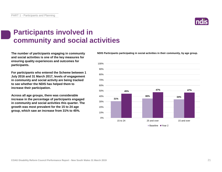### **Participants involved in community and social activities**

**The number of participants engaging in community and social activities is one of the key measures for ensuring quality experiences and outcomes for participants.**

**For participants who entered the Scheme between 1 July 2016 and 31 March 2017, levels of engagement in community and social activity are being tracked to see whether the NDIS has helped them to increase their participation.**

**Across all age groups, there was considerable increase in the percentage of participants engaged in community and social activities this quarter. The growth was most prevalent for the 15 to 24 age group, which saw an increase from 31% to 45%.**

**NDIS Participants participating in social activities in their community, by age group.**



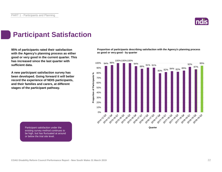

### **Participant Satisfaction**

**95% of participants rated their satisfaction with the Agency's planning process as either good or very good in the current quarter. This has increased since the last quarter with sufficient data.** 

**A new participant satisfaction survey has been developed. Going forward it will better record the experience of NDIS participants, and their families and carers, at different stages of the participant pathway.**

**Proportion of participants describing satisfaction with the Agency's planning process as good or very good - by quarter**



Participant satisfaction under the existing survey method continues to be high, but has fluctuated at around or below the trial site level.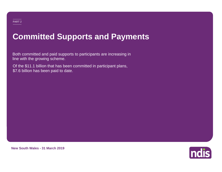# **Committed Supports and Payments**

Both committed and paid supports to participants are increasing in line with the growing scheme.

Of the \$11.1 billion that has been committed in participant plans, \$7.6 billion has been paid to date.

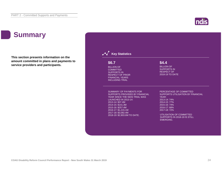#### |**ndis**

## **Summary**

**This section presents information on the amount committed in plans and payments to service providers and participants.**

| \$6.7                                            | \$4.4                             |
|--------------------------------------------------|-----------------------------------|
| <b>BILLION OF</b>                                | <b>BILLION OF</b>                 |
| <b>COMMITTED</b>                                 | <b>SUPPORTS IN</b>                |
| <b>SUPPORTS IN</b>                               | <b>RESPECT OF</b>                 |
| <b>RESPECT OF PRIOR</b>                          | 2018-19 TO DATE                   |
| <b>FINANCIAL YEARS</b><br><b>INCLUDING TRIAL</b> |                                   |
|                                                  |                                   |
| <b>SUMMARY OF PAYMENTS FOR</b>                   | PERCENTAGE OF COMMITTED           |
| SUPPORTS PROVIDED BY FINANCIAL                   | SUPPORTS UTILISATION BY FINANCIAL |
| YEAR SINCE THE NDIS TRIAL WAS                    | YEAR:<br>2013-14: 74%             |
| <b>LAUNCHED IN 2013-14:</b><br>2013-14: \$37.4M  | 2014-15: 77%                      |
| 2014-15: \$141.3M                                | 2015-16: 74%                      |
| 2015-16: \$257.4M                                | 2016-17: 68%                      |
| 2016-17: \$1,215.1M                              | 2017-18: 72%                      |
| 2017-18: \$3,082.4M                              | UTILISATION OF COMMITTED          |
| 2018-19: \$2,903.6M TO DATE.                     | SUPPORTS IN 2018-19 IS STILL      |
|                                                  | <b>EMERGING.</b>                  |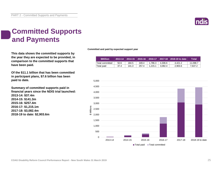

### **Committed Supports and Payments**

**This data shows the committed supports by the year they are expected to be provided, in comparison to the committed supports that have been paid.**

**Of the \$11.1 billion that has been committed in participant plans, \$7.6 billion has been paid to date.**

**Summary of committed supports paid in financial years since the NDIS trial launched: 2013-14: \$37.4m 2014-15: \$141.3m 2015-16: \$257.4m 2016-17: \$1,215.1m 2017-18: \$3,082.4m 2018-19 to date: \$2,903.6m**

**Committed and paid by expected support year**

| <b>SMillion</b> |      |       |       |         |         | 2013-14 2014-15 2015-16 2016-17 2017-18 2018-19 to date | Total    |
|-----------------|------|-------|-------|---------|---------|---------------------------------------------------------|----------|
| Total committed | 50.6 | 184.5 | 349.4 | 1.786.3 | 4.306.6 | 4.421.2                                                 | 11.098.7 |
| Total paid      | 37.4 | 141.3 | 257.4 | 1.215.1 | 3.082.4 | 2.903.6                                                 | 7.637.2  |

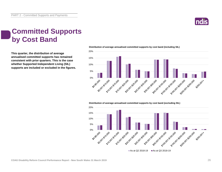

### **Committed Supports by Cost Band**

**This quarter, the distribution of average annualised committed supports has remained consistent with prior quarters. This is the case whether Supported Independent Living (SIL) supports are included or excluded in the figures.**



**Distribution of average annualised committed supports by cost band (including SIL)** 

**Distribution of average annualised committed supports by cost band (excluding SIL)** 

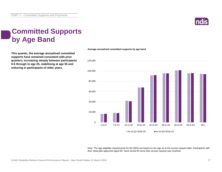

### **Committed Supports by Age Band**

**This quarter, the average annualised committed supports have remained consistent with prior quarters, increasing steeply between participants 0-6 through to age 25, stabilising at age 55 and reducing in participants of older years.**



**Average annualised committed supports by age band**

Note: The age eligibility requirements for the NDIS are based on the age as at the access request date. Participants with their initial plan approved aged 65+ have turned 65 since their access request was received.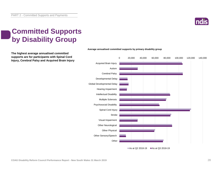

### **Committed Supports by Disability Group**

**The highest average annualised committed supports are for participants with Spinal Cord Injury, Cerebral Palsy and Acquired Brain Injury**



#### **Average annualised committed supports by primary disability group**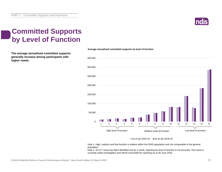

### **Committed Supports by Level of Function**

**The average annualised committed supports generally increase among participants with higher needs.**



#### **Average annualised committed supports by level of function**

As at Q2 2018-19  $\blacksquare$  As at Q3 2018-19

Note 1: High, medium and low function is relative within the NDIS population and not comparable to the general population.

Note 2: An ICT issue has been identified and as a result, reporting by level of function is not accurate. This issue is currently under investigation and will be reconciled for reporting as at 30 June 2019.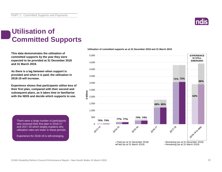### **Utilisation of Committed Supports**

**This data demonstrates the utilisation of committed supports by the year they were expected to be provided at 31 December 2018 and 31 March 2019.** 

**As there is a lag between when support is provided and when it is paid, the utilisation in 2018-19 will increase.**

**Experience shows that participants utilise less of their first plan, compared with their second and subsequent plans, as it takes time to familiarise with the NDIS and decide which supports to use.** 

There were a large number of participants who received their first plan in 2016-17 and 2017-18 which largely explains why utilisation rates are lower in these periods.

Experience for 2018-19 is still emerging.



#### **Utilisation of committed supports as at 31 December 2018 and 31 March 2019**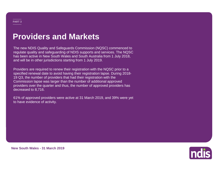## **Providers and Markets**

The new NDIS Quality and Safeguards Commission (NQSC) commenced to regulate quality and safeguarding of NDIS supports and services. The NQSC has been active in New South Wales and South Australia from 1 July 2018, and will be in other jurisdictions starting from 1 July 2019.

Providers are required to renew their registration with the NQSC prior to a specified renewal date to avoid having their registration lapse. During 2018- 19 Q3, the number of providers that had their registration with the Commission lapse was larger than the number of additional approved providers over the quarter and thus, the number of approved providers has decreased to 8,716.

61% of approved providers were active at 31 March 2019, and 39% were yet to have evidence of activity.

Indis

**New South Wales - 31 March 2019**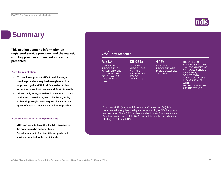#### **Summary**

**This section contains information on registered service providers and the market, with key provider and market indicators presented.**

#### **Provider registration**

- **To provide supports to NDIS participants, a service provider is required to register and be approved by the NDIA in all States/Territories other than New South Wales and South Australia.**
- **Since 1 July 2018, providers in New South Wales and South Australia register with the NQSC by submitting a registration request, indicating the types of support they are accredited to provide.**

#### **How providers interact with participants**

- **NDIS participants have the flexibility to choose the providers who support them.**
- **Providers are paid for disability supports and services provided to the participants.**

#### **Key Statistics**

#### **8,716 85-95% 44%**

APPROVED PROVIDERS, 61% OF WHICH WERE ACTIVE IN NEW SOUTH WALES AT 31 MARCH 2019

OF SERVICE PROVIDERS ARE INDIVIDUALS/SOLE **TRADERS** 

THERAPEUTIC SUPPORTS HAS THE HIGHEST NUMBER OF APPROVED SERVICE PROVIDERS, FOLLOWED BY HOUSEHOLD TASKS AND ASSISTANCE **WITH** TRAVEL/TRANSPORT ARRANGEMENTS

The new NDIS Quality and Safeguards Commission (NQSC) commenced to regulate quality and safeguarding of NDIS supports and services. The NQSC has been active in New South Wales and South Australia from 1 July 2018, and will be in other jurisdictions starting from 1 July 2019.

OF PAYMENTS MADE BY THE NDIA ARE RECEIVED BY 25% OF **PROVIDERS** 

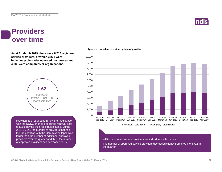

#### **Providers over time**

**As at 31 March 2019, there were 8,716 registered service providers, of which 3,828 were individual/sole trader operated businesses and 4,888 were companies or organisations.**



Providers are required to renew their registration with the NQSC prior to a specified renewal date to avoid having their registration lapse. During 2018-19 Q3, the number of providers that had their registration with the Commission lapse was larger than the number of additional approved providers over the quarter and thus, the number of approved providers has decreased to 8,716.

#### **Approved providers over time by type of provider**



The number of approved service providers decreased slightly from 8,924 to 8,716 in the quarter.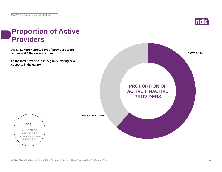

### **Proportion of Active Providers**

**As at 31 March 2019, 61% of providers were active and 39% were inactive.**

**Of the total providers, 911 began delivering new supports in the quarter.**





**Not yet active (39%)**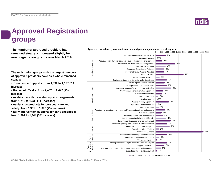

### **Approved Registration groups**

**remained steady or increased slightly for most registration groups over March 2019.**

**The registration groups with the largest numbers of approved providers have as a whole remained steady:**

**• Therapeutic Supports: from 4,096 to 4,177 (2% increase)**

**• Household Tasks: from 2,402 to 2,442 (2% increase)**

**• Assistance with travel/transport arrangements: from 1,710 to 1,733 (1% increase)**

**• Assistance products for personal care and safety: from 1,351 to 1,375 (2% increase)**

**• Early Intervention supports for early childhood: from 1,301 to 1,344 (3% increase)**

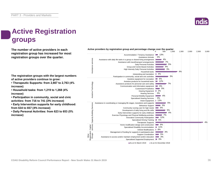

## **Active Registration groups**

**The number of active providers in each registration group has increased for most registration groups over the quarter.**

**The registration groups with the largest numbers of active providers continue to grow:**

**• Therapeutic Supports: from 2,667 to 2,763 (4% increase)**

**• Household tasks: from 1,219 to 1,268 (4% increase)**

**• Participation in community, social and civic activities: from 716 to 741 (3% increase)**

**• Early Intervention supports for early childhood: from 634 to 657 (4% increase)**

**• Daily Personal Activities: from 623 to 653 (5% increase)**

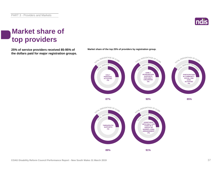

### **Market share of top providers**

**25% of service providers received 85-95% of Market share of the top 25% of providers by registration group. the dollars paid for major registration groups.**



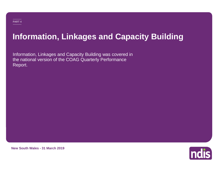# **Information, Linkages and Capacity Building**

Information, Linkages and Capacity Building was covered in the national version of the COAG Quarterly Performance Report.



**New South Wales - 31 March 2019**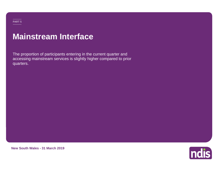### **Mainstream Interface**

The proportion of participants entering in the current quarter and accessing mainstream services is slightly higher compared to prior quarters.

**New South Wales - 31 March 2019**

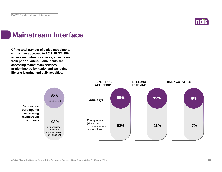

### **Mainstream Interface**

**Of the total number of active participants with a plan approved in 2018-19 Q3, 95% access mainstream services, an increase from prior quarters. Participants are accessing mainstream services predominantly for health and wellbeing, lifelong learning and daily activities.**